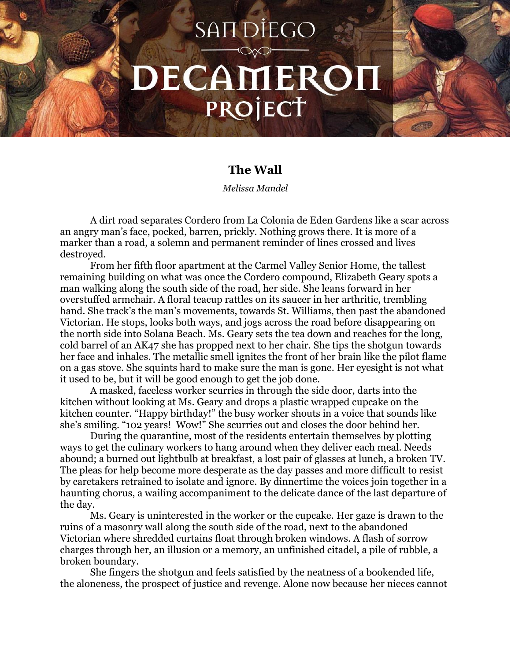## **SANDIEGO** DECAMEROI PROJECT

## **The Wall**

*Melissa Mandel*

A dirt road separates Cordero from La Colonia de Eden Gardens like a scar across an angry man's face, pocked, barren, prickly. Nothing grows there. It is more of a marker than a road, a solemn and permanent reminder of lines crossed and lives destroyed.

From her fifth floor apartment at the Carmel Valley Senior Home, the tallest remaining building on what was once the Cordero compound, Elizabeth Geary spots a man walking along the south side of the road, her side. She leans forward in her overstuffed armchair. A floral teacup rattles on its saucer in her arthritic, trembling hand. She track's the man's movements, towards St. Williams, then past the abandoned Victorian. He stops, looks both ways, and jogs across the road before disappearing on the north side into Solana Beach. Ms. Geary sets the tea down and reaches for the long, cold barrel of an AK47 she has propped next to her chair. She tips the shotgun towards her face and inhales. The metallic smell ignites the front of her brain like the pilot flame on a gas stove. She squints hard to make sure the man is gone. Her eyesight is not what it used to be, but it will be good enough to get the job done.

A masked, faceless worker scurries in through the side door, darts into the kitchen without looking at Ms. Geary and drops a plastic wrapped cupcake on the kitchen counter. "Happy birthday!" the busy worker shouts in a voice that sounds like she's smiling. "102 years! Wow!" She scurries out and closes the door behind her.

During the quarantine, most of the residents entertain themselves by plotting ways to get the culinary workers to hang around when they deliver each meal. Needs abound; a burned out lightbulb at breakfast, a lost pair of glasses at lunch, a broken TV. The pleas for help become more desperate as the day passes and more difficult to resist by caretakers retrained to isolate and ignore. By dinnertime the voices join together in a haunting chorus, a wailing accompaniment to the delicate dance of the last departure of the day.

Ms. Geary is uninterested in the worker or the cupcake. Her gaze is drawn to the ruins of a masonry wall along the south side of the road, next to the abandoned Victorian where shredded curtains float through broken windows. A flash of sorrow charges through her, an illusion or a memory, an unfinished citadel, a pile of rubble, a broken boundary.

She fingers the shotgun and feels satisfied by the neatness of a bookended life, the aloneness, the prospect of justice and revenge. Alone now because her nieces cannot